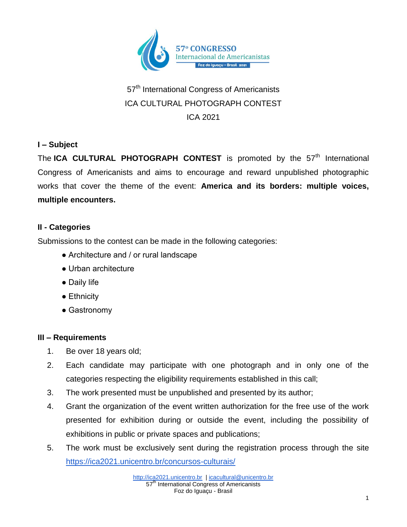

# 57<sup>th</sup> International Congress of Americanists ICA CULTURAL PHOTOGRAPH CONTEST ICA 2021

## **I – Subject**

The ICA CULTURAL PHOTOGRAPH CONTEST is promoted by the 57<sup>th</sup> International Congress of Americanists and aims to encourage and reward unpublished photographic works that cover the theme of the event: **America and its borders: multiple voices, multiple encounters.**

## **II - Categories**

Submissions to the contest can be made in the following categories:

- Architecture and / or rural landscape
- Urban architecture
- Daily life
- Ethnicity
- Gastronomy

## **III – Requirements**

- 1. Be over 18 years old;
- 2. Each candidate may participate with one photograph and in only one of the categories respecting the eligibility requirements established in this call;
- 3. The work presented must be unpublished and presented by its author;
- 4. Grant the organization of the event written authorization for the free use of the work presented for exhibition during or outside the event, including the possibility of exhibitions in public or private spaces and publications;
- 5. The work must be exclusively sent during the registration process through the site <https://ica2021.unicentro.br/concursos-culturais/>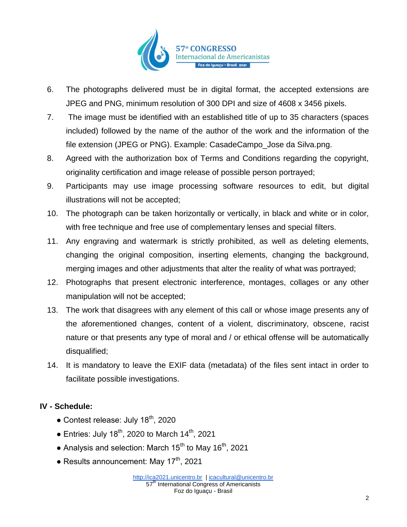

- 6. The photographs delivered must be in digital format, the accepted extensions are JPEG and PNG, minimum resolution of 300 DPI and size of 4608 x 3456 pixels.
- 7. The image must be identified with an established title of up to 35 characters (spaces included) followed by the name of the author of the work and the information of the file extension (JPEG or PNG). Example: CasadeCampo\_Jose da Silva.png.
- 8. Agreed with the authorization box of Terms and Conditions regarding the copyright, originality certification and image release of possible person portrayed;
- 9. Participants may use image processing software resources to edit, but digital illustrations will not be accepted;
- 10. The photograph can be taken horizontally or vertically, in black and white or in color, with free technique and free use of complementary lenses and special filters.
- 11. Any engraving and watermark is strictly prohibited, as well as deleting elements, changing the original composition, inserting elements, changing the background, merging images and other adjustments that alter the reality of what was portrayed;
- 12. Photographs that present electronic interference, montages, collages or any other manipulation will not be accepted;
- 13. The work that disagrees with any element of this call or whose image presents any of the aforementioned changes, content of a violent, discriminatory, obscene, racist nature or that presents any type of moral and / or ethical offense will be automatically disqualified;
- 14. It is mandatory to leave the EXIF data (metadata) of the files sent intact in order to facilitate possible investigations.

## **IV - Schedule:**

- Contest release: July  $18^{th}$ , 2020
- $\bullet$  Entries: July 18<sup>th</sup>, 2020 to March 14<sup>th</sup>, 2021
- Analysis and selection: March 15<sup>th</sup> to May 16<sup>th</sup>, 2021
- Results announcement: May  $17<sup>th</sup>$ , 2021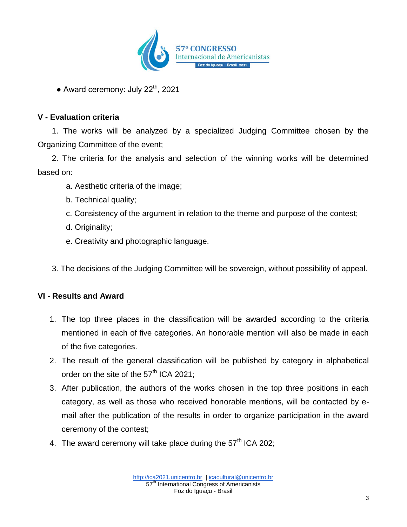

• Award ceremony: July  $22<sup>th</sup>$ , 2021

## **V - Evaluation criteria**

1. The works will be analyzed by a specialized Judging Committee chosen by the Organizing Committee of the event;

2. The criteria for the analysis and selection of the winning works will be determined based on:

- a. Aesthetic criteria of the image;
- b. Technical quality;
- c. Consistency of the argument in relation to the theme and purpose of the contest;
- d. Originality;
- e. Creativity and photographic language.
- 3. The decisions of the Judging Committee will be sovereign, without possibility of appeal.

## **VI - Results and Award**

- 1. The top three places in the classification will be awarded according to the criteria mentioned in each of five categories. An honorable mention will also be made in each of the five categories.
- 2. The result of the general classification will be published by category in alphabetical order on the site of the 57<sup>th</sup> ICA 2021;
- 3. After publication, the authors of the works chosen in the top three positions in each category, as well as those who received honorable mentions, will be contacted by email after the publication of the results in order to organize participation in the award ceremony of the contest;
- 4. The award ceremony will take place during the  $57<sup>th</sup>$  ICA 202;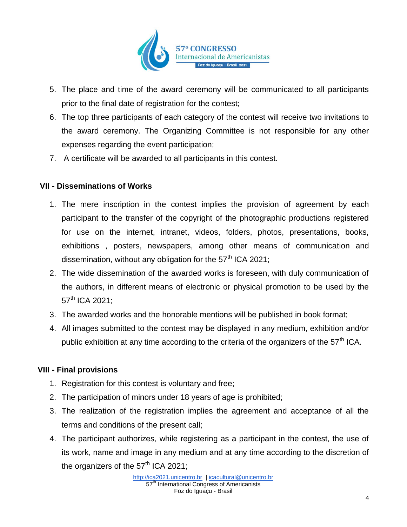

- 5. The place and time of the award ceremony will be communicated to all participants prior to the final date of registration for the contest;
- 6. The top three participants of each category of the contest will receive two invitations to the award ceremony. The Organizing Committee is not responsible for any other expenses regarding the event participation;
- 7. A certificate will be awarded to all participants in this contest.

## **VII - Disseminations of Works**

- 1. The mere inscription in the contest implies the provision of agreement by each participant to the transfer of the copyright of the photographic productions registered for use on the internet, intranet, videos, folders, photos, presentations, books, exhibitions , posters, newspapers, among other means of communication and dissemination, without any obligation for the  $57<sup>th</sup>$  ICA 2021;
- 2. The wide dissemination of the awarded works is foreseen, with duly communication of the authors, in different means of electronic or physical promotion to be used by the  $57^{th}$  ICA 2021:
- 3. The awarded works and the honorable mentions will be published in book format;
- 4. All images submitted to the contest may be displayed in any medium, exhibition and/or public exhibition at any time according to the criteria of the organizers of the  $57<sup>th</sup>$  ICA.

### **VIII - Final provisions**

- 1. Registration for this contest is voluntary and free;
- 2. The participation of minors under 18 years of age is prohibited;
- 3. The realization of the registration implies the agreement and acceptance of all the terms and conditions of the present call;
- 4. The participant authorizes, while registering as a participant in the contest, the use of its work, name and image in any medium and at any time according to the discretion of the organizers of the  $57<sup>th</sup>$  ICA 2021;